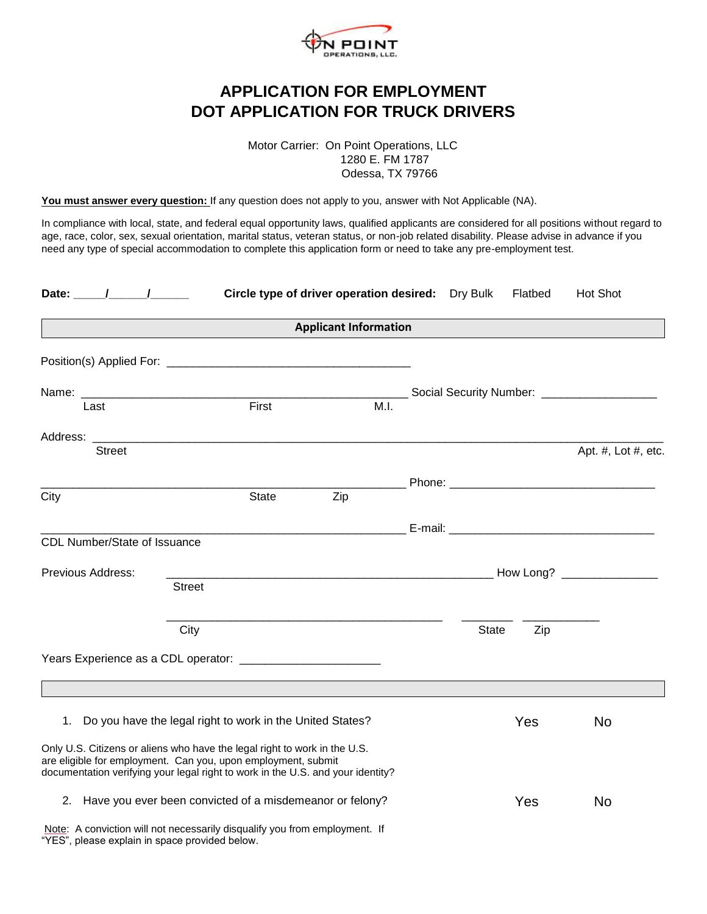

# **APPLICATION FOR EMPLOYMENT DOT APPLICATION FOR TRUCK DRIVERS**

Motor Carrier: On Point Operations, LLC 1280 E. FM 1787 Odessa, TX 79766

You must answer every question: If any question does not apply to you, answer with Not Applicable (NA).

In compliance with local, state, and federal equal opportunity laws, qualified applicants are considered for all positions without regard to age, race, color, sex, sexual orientation, marital status, veteran status, or non-job related disability. Please advise in advance if you need any type of special accommodation to complete this application form or need to take any pre-employment test.

| Date: $/$ /                  |                                                                                                                                                                                                                               | Circle type of driver operation desired: Dry Bulk |      |  |              | Flatbed | <b>Hot Shot</b>           |
|------------------------------|-------------------------------------------------------------------------------------------------------------------------------------------------------------------------------------------------------------------------------|---------------------------------------------------|------|--|--------------|---------|---------------------------|
|                              | <b>Applicant Information</b>                                                                                                                                                                                                  |                                                   |      |  |              |         |                           |
|                              |                                                                                                                                                                                                                               |                                                   |      |  |              |         |                           |
|                              |                                                                                                                                                                                                                               |                                                   |      |  |              |         |                           |
| Last                         | First                                                                                                                                                                                                                         |                                                   | M.I. |  |              |         |                           |
| Street                       |                                                                                                                                                                                                                               |                                                   |      |  |              |         | Apt. $#$ , Lot $#$ , etc. |
|                              |                                                                                                                                                                                                                               |                                                   |      |  |              |         |                           |
| City                         | <b>State</b>                                                                                                                                                                                                                  | Zip                                               |      |  |              |         |                           |
|                              |                                                                                                                                                                                                                               |                                                   |      |  |              |         |                           |
| CDL Number/State of Issuance |                                                                                                                                                                                                                               |                                                   |      |  |              |         |                           |
| Previous Address:            |                                                                                                                                                                                                                               |                                                   |      |  |              |         |                           |
|                              | <b>Street</b>                                                                                                                                                                                                                 |                                                   |      |  |              |         |                           |
|                              | City                                                                                                                                                                                                                          |                                                   |      |  | <b>State</b> | Zip     |                           |
|                              |                                                                                                                                                                                                                               |                                                   |      |  |              |         |                           |
|                              | <u> 1990 - Jan James Sandarík (f. 1980)</u>                                                                                                                                                                                   |                                                   |      |  |              |         |                           |
|                              | 1. Do you have the legal right to work in the United States?                                                                                                                                                                  |                                                   |      |  |              | Yes     | <b>No</b>                 |
|                              | Only U.S. Citizens or aliens who have the legal right to work in the U.S.<br>are eligible for employment. Can you, upon employment, submit<br>documentation verifying your legal right to work in the U.S. and your identity? |                                                   |      |  |              |         |                           |
|                              | 2. Have you ever been convicted of a misdemeanor or felony?                                                                                                                                                                   |                                                   |      |  |              | Yes     | <b>No</b>                 |
|                              | Note: A conviction will not necessarily disqualify you from employment. If                                                                                                                                                    |                                                   |      |  |              |         |                           |

"YES", please explain in space provided below.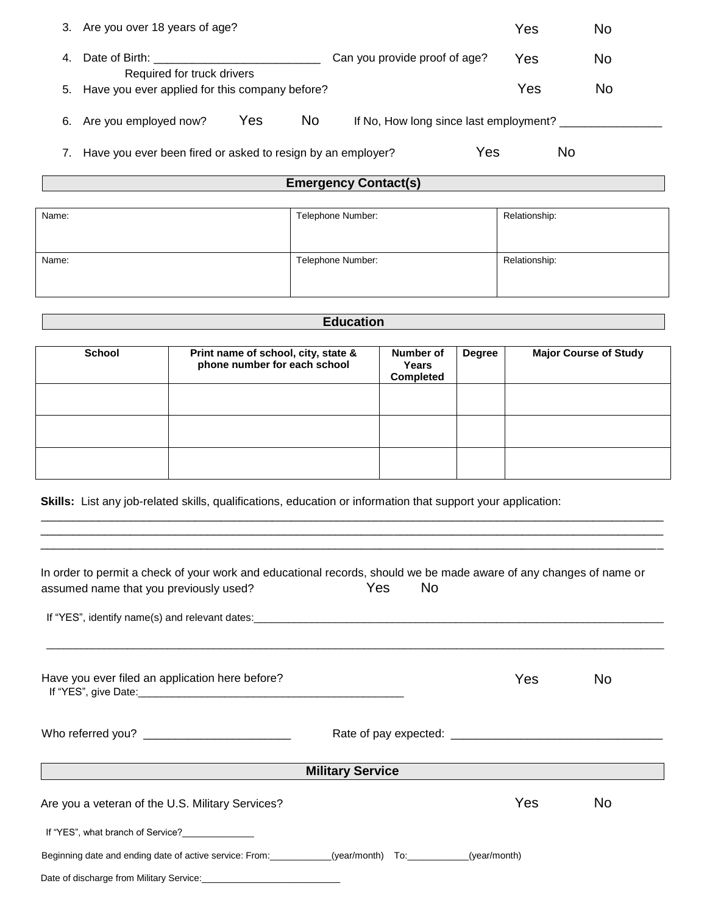| 3. | Are you over 18 years of age?                               |                                              | Yes | No  |
|----|-------------------------------------------------------------|----------------------------------------------|-----|-----|
| 4. | Date of Birth: Date of Birth:<br>Required for truck drivers | Can you provide proof of age?                | Yes | No  |
|    | 5. Have you ever applied for this company before?           |                                              | Yes | No. |
| 6. | N <sub>o</sub><br>Yes<br>Are you employed now?              | If No, How long since last employment? _____ |     |     |
|    | Have you ever been fired or asked to resign by an employer? | Yes                                          |     | No  |

## **Emergency Contact(s)**

| Name: | Telephone Number: | Relationship: |
|-------|-------------------|---------------|
| Name: | Telephone Number: | Relationship: |

## **Education**

| <b>School</b> | Print name of school, city, state &<br>phone number for each school | Number of<br>Years<br>Completed | <b>Degree</b> | <b>Major Course of Study</b> |
|---------------|---------------------------------------------------------------------|---------------------------------|---------------|------------------------------|
|               |                                                                     |                                 |               |                              |
|               |                                                                     |                                 |               |                              |
|               |                                                                     |                                 |               |                              |

\_\_\_\_\_\_\_\_\_\_\_\_\_\_\_\_\_\_\_\_\_\_\_\_\_\_\_\_\_\_\_\_\_\_\_\_\_\_\_\_\_\_\_\_\_\_\_\_\_\_\_\_\_\_\_\_\_\_\_\_\_\_\_\_\_\_\_\_\_\_\_\_\_\_\_\_\_\_\_\_\_\_\_\_\_\_\_\_\_\_\_\_\_\_\_\_\_ \_\_\_\_\_\_\_\_\_\_\_\_\_\_\_\_\_\_\_\_\_\_\_\_\_\_\_\_\_\_\_\_\_\_\_\_\_\_\_\_\_\_\_\_\_\_\_\_\_\_\_\_\_\_\_\_\_\_\_\_\_\_\_\_\_\_\_\_\_\_\_\_\_\_\_\_\_\_\_\_\_\_\_\_\_\_\_\_\_\_\_\_\_\_\_\_\_ \_\_\_\_\_\_\_\_\_\_\_\_\_\_\_\_\_\_\_\_\_\_\_\_\_\_\_\_\_\_\_\_\_\_\_\_\_\_\_\_\_\_\_\_\_\_\_\_\_\_\_\_\_\_\_\_\_\_\_\_\_\_\_\_\_\_\_\_\_\_\_\_\_\_\_\_\_\_\_\_\_\_\_\_\_\_\_\_\_\_\_\_\_\_\_\_\_

**Skills:** List any job-related skills, qualifications, education or information that support your application:

| In order to permit a check of your work and educational records, should we be made aware of any changes of name or<br>assumed name that you previously used? | Yes                     | <b>No</b> |            |     |
|--------------------------------------------------------------------------------------------------------------------------------------------------------------|-------------------------|-----------|------------|-----|
|                                                                                                                                                              |                         |           |            |     |
| Have you ever filed an application here before?                                                                                                              |                         |           | Yes        | No. |
|                                                                                                                                                              |                         |           |            |     |
|                                                                                                                                                              | <b>Military Service</b> |           |            |     |
| Are you a veteran of the U.S. Military Services?                                                                                                             |                         |           | <b>Yes</b> | No  |
| If "YES", what branch of Service?                                                                                                                            |                         |           |            |     |
| Beginning date and ending date of active service: From: __________(year/month) To: _________(year/month)                                                     |                         |           |            |     |
|                                                                                                                                                              |                         |           |            |     |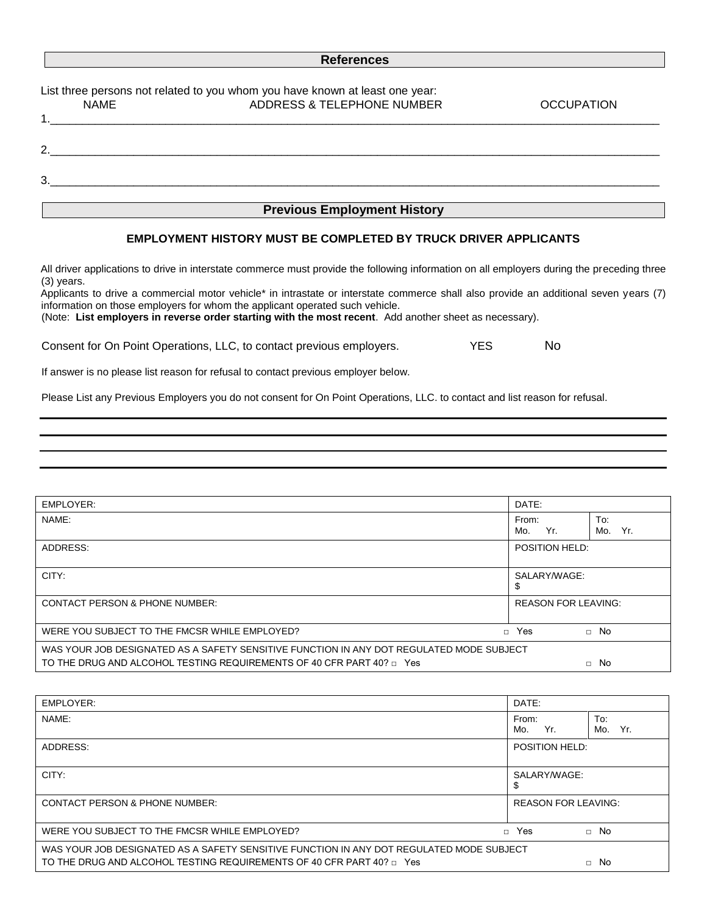#### **References**

| List three persons not related to you whom you have known at least one year: |                            |                   |  |  |
|------------------------------------------------------------------------------|----------------------------|-------------------|--|--|
| <b>NAME</b>                                                                  | ADDRESS & TELEPHONE NUMBER | <b>OCCUPATION</b> |  |  |
|                                                                              |                            |                   |  |  |
|                                                                              |                            |                   |  |  |
|                                                                              |                            |                   |  |  |
|                                                                              |                            |                   |  |  |
| 3.                                                                           |                            |                   |  |  |
|                                                                              |                            |                   |  |  |
| <b>Previous Employment History</b>                                           |                            |                   |  |  |

### **EMPLOYMENT HISTORY MUST BE COMPLETED BY TRUCK DRIVER APPLICANTS**

All driver applications to drive in interstate commerce must provide the following information on all employers during the preceding three (3) years.

Applicants to drive a commercial motor vehicle\* in intrastate or interstate commerce shall also provide an additional seven years (7) information on those employers for whom the applicant operated such vehicle.

(Note: **List employers in reverse order starting with the most recent**. Add another sheet as necessary).

Consent for On Point Operations, LLC, to contact previous employers. YES No

If answer is no please list reason for refusal to contact previous employer below.

Please List any Previous Employers you do not consent for On Point Operations, LLC. to contact and list reason for refusal.

| EMPLOYER:                                                                                | DATE:                      |                   |
|------------------------------------------------------------------------------------------|----------------------------|-------------------|
| NAME:                                                                                    | From:<br>Yr.<br>Mo.        | To:<br>Mo.<br>Yr. |
| ADDRESS:                                                                                 | POSITION HELD:             |                   |
| CITY:                                                                                    | SALARY/WAGE:               |                   |
| <b>CONTACT PERSON &amp; PHONE NUMBER:</b>                                                | <b>REASON FOR LEAVING:</b> |                   |
| WERE YOU SUBJECT TO THE FMCSR WHILE EMPLOYED?                                            | Yes<br>П.                  | No<br>$\Box$      |
| WAS YOUR JOB DESIGNATED AS A SAFETY SENSITIVE FUNCTION IN ANY DOT REGULATED MODE SUBJECT |                            |                   |
| TO THE DRUG AND ALCOHOL TESTING REQUIREMENTS OF 40 CFR PART 40? □ Yes                    |                            | No<br>$\Box$      |

| EMPLOYER:                                                                                | DATE:                      |                   |
|------------------------------------------------------------------------------------------|----------------------------|-------------------|
| NAME:                                                                                    | From:<br>Yr.<br>Mo.        | To:<br>Yr.<br>Mo. |
| ADDRESS:                                                                                 | POSITION HELD:             |                   |
| CITY:                                                                                    | SALARY/WAGE:               |                   |
| <b>CONTACT PERSON &amp; PHONE NUMBER:</b>                                                | <b>REASON FOR LEAVING:</b> |                   |
| WERE YOU SUBJECT TO THE FMCSR WHILE EMPLOYED?                                            | D Yes                      | $\Box$ No         |
| WAS YOUR JOB DESIGNATED AS A SAFETY SENSITIVE FUNCTION IN ANY DOT REGULATED MODE SUBJECT |                            |                   |
| TO THE DRUG AND ALCOHOL TESTING REQUIREMENTS OF 40 CFR PART 40? $\Box$ Yes               |                            | No<br>П.          |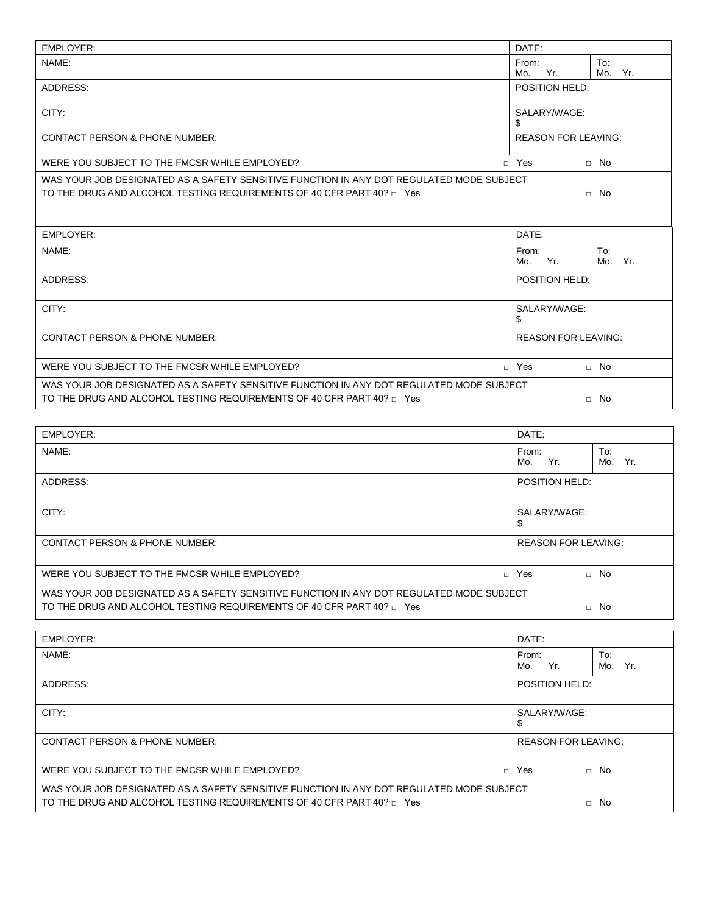| <b>EMPLOYER:</b>                                                                                                                                                  | DATE:                                 |
|-------------------------------------------------------------------------------------------------------------------------------------------------------------------|---------------------------------------|
| NAME:                                                                                                                                                             | To:<br>From:<br>Mo. Yr.<br>Yr.<br>Mo. |
| ADDRESS:                                                                                                                                                          | POSITION HELD:                        |
| CITY:                                                                                                                                                             | SALARY/WAGE:<br>\$                    |
| CONTACT PERSON & PHONE NUMBER:                                                                                                                                    | <b>REASON FOR LEAVING:</b>            |
| WERE YOU SUBJECT TO THE FMCSR WHILE EMPLOYED?                                                                                                                     | $\Box$ Yes<br>$\Box$ No               |
| WAS YOUR JOB DESIGNATED AS A SAFETY SENSITIVE FUNCTION IN ANY DOT REGULATED MODE SUBJECT<br>TO THE DRUG AND ALCOHOL TESTING REQUIREMENTS OF 40 CFR PART 40? □ Yes | $\Box$ No                             |
| EMPLOYER:                                                                                                                                                         | DATE:                                 |
| NAME:                                                                                                                                                             | To:<br>From:<br>Yr.<br>Mo. Yr.<br>Mo. |
| <b>ADDRESS:</b>                                                                                                                                                   | POSITION HELD:                        |
| CITY:                                                                                                                                                             | SALARY/WAGE:<br>\$                    |
| <b>CONTACT PERSON &amp; PHONE NUMBER:</b>                                                                                                                         | <b>REASON FOR LEAVING:</b>            |
| WERE YOU SUBJECT TO THE FMCSR WHILE EMPLOYED?                                                                                                                     | $\Box$ Yes<br>$\Box$ No               |
| WAS YOUR JOB DESIGNATED AS A SAFETY SENSITIVE FUNCTION IN ANY DOT REGULATED MODE SUBJECT                                                                          |                                       |
| TO THE DRUG AND ALCOHOL TESTING REQUIREMENTS OF 40 CFR PART 40? □ Yes                                                                                             | $\Box$ No                             |

| EMPLOYER:                                                                                                                                                              | DATE:                      |                   |
|------------------------------------------------------------------------------------------------------------------------------------------------------------------------|----------------------------|-------------------|
| NAME:                                                                                                                                                                  | From:<br>Yr.<br>Mo.        | To:<br>Mo.<br>Yr. |
| ADDRESS:                                                                                                                                                               | <b>POSITION HELD:</b>      |                   |
| CITY:                                                                                                                                                                  | SALARY/WAGE:<br>S          |                   |
| <b>CONTACT PERSON &amp; PHONE NUMBER:</b>                                                                                                                              | <b>REASON FOR LEAVING:</b> |                   |
| WERE YOU SUBJECT TO THE FMCSR WHILE EMPLOYED?<br>$\Box$                                                                                                                | Yes                        | $\Box$ No         |
| WAS YOUR JOB DESIGNATED AS A SAFETY SENSITIVE FUNCTION IN ANY DOT REGULATED MODE SUBJECT<br>TO THE DRUG AND ALCOHOL TESTING REQUIREMENTS OF 40 CFR PART 40? $\Box$ Yes |                            | $\Box$ No         |

| EMPLOYER:                                                                                                                                                              | DATE:                      |                   |
|------------------------------------------------------------------------------------------------------------------------------------------------------------------------|----------------------------|-------------------|
| NAME:                                                                                                                                                                  | From:<br>Yr.<br>Mo.        | To:<br>Yr.<br>Mo. |
| ADDRESS:                                                                                                                                                               | POSITION HELD:             |                   |
| CITY:                                                                                                                                                                  | SALARY/WAGE:<br>S          |                   |
| <b>CONTACT PERSON &amp; PHONE NUMBER:</b>                                                                                                                              | <b>REASON FOR LEAVING:</b> |                   |
| WERE YOU SUBJECT TO THE FMCSR WHILE EMPLOYED?                                                                                                                          | □ Yes                      | $\Box$ No         |
| WAS YOUR JOB DESIGNATED AS A SAFETY SENSITIVE FUNCTION IN ANY DOT REGULATED MODE SUBJECT<br>TO THE DRUG AND ALCOHOL TESTING REQUIREMENTS OF 40 CFR PART 40? $\Box$ Yes | $\Box$                     | No                |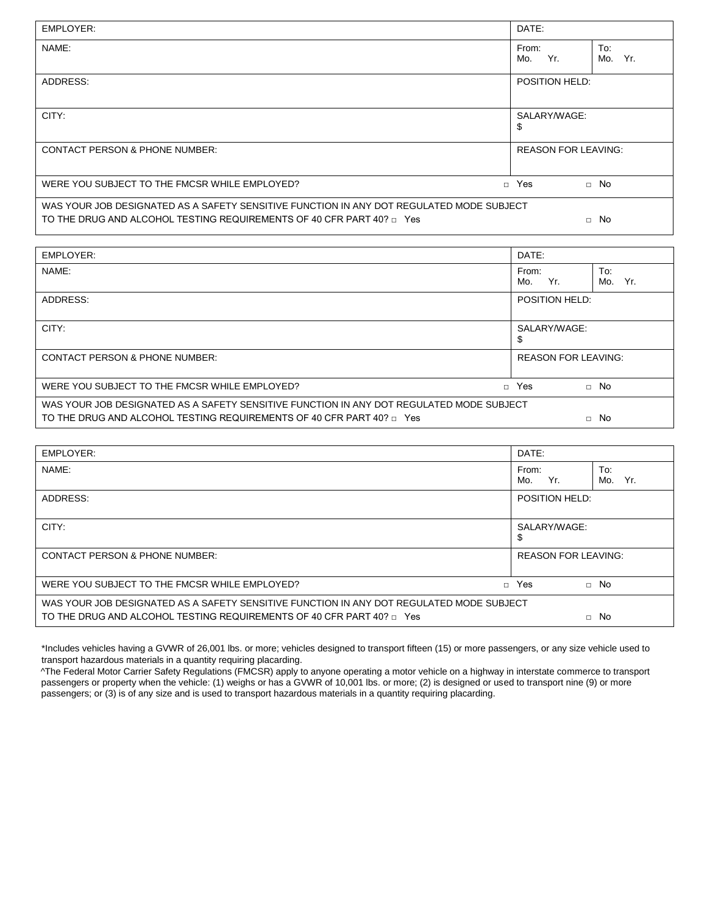| EMPLOYER:                                                                                                                                                         | DATE:                      |                   |
|-------------------------------------------------------------------------------------------------------------------------------------------------------------------|----------------------------|-------------------|
| NAME:                                                                                                                                                             | From:<br>Yr.<br>Mo.        | To:<br>Yr.<br>Mo. |
| ADDRESS:                                                                                                                                                          | POSITION HELD:             |                   |
| CITY:                                                                                                                                                             | SALARY/WAGE:<br>S          |                   |
| <b>CONTACT PERSON &amp; PHONE NUMBER:</b>                                                                                                                         | <b>REASON FOR LEAVING:</b> |                   |
| WERE YOU SUBJECT TO THE FMCSR WHILE EMPLOYED?<br>$\Box$                                                                                                           | Yes                        | $\Box$ No         |
| WAS YOUR JOB DESIGNATED AS A SAFETY SENSITIVE FUNCTION IN ANY DOT REGULATED MODE SUBJECT<br>TO THE DRUG AND ALCOHOL TESTING REQUIREMENTS OF 40 CFR PART 40? □ Yes |                            | $\Box$ No         |

| EMPLOYER:                                                                                                                                                         | DATE:                      |                   |
|-------------------------------------------------------------------------------------------------------------------------------------------------------------------|----------------------------|-------------------|
| NAME:                                                                                                                                                             | From:<br>Yr.<br>Mo.        | To:<br>Mo.<br>Yr. |
| ADDRESS:                                                                                                                                                          | POSITION HELD:             |                   |
| CITY:                                                                                                                                                             | SALARY/WAGE:<br>\$         |                   |
| <b>CONTACT PERSON &amp; PHONE NUMBER:</b>                                                                                                                         | <b>REASON FOR LEAVING:</b> |                   |
| WERE YOU SUBJECT TO THE FMCSR WHILE EMPLOYED?<br>П.                                                                                                               | Yes                        | $\Box$ No         |
| WAS YOUR JOB DESIGNATED AS A SAFETY SENSITIVE FUNCTION IN ANY DOT REGULATED MODE SUBJECT<br>TO THE DRUG AND ALCOHOL TESTING REQUIREMENTS OF 40 CFR PART 40? □ Yes |                            | $\Box$ No         |

| EMPLOYER:                                                                                                                                                         | DATE:                      |                   |
|-------------------------------------------------------------------------------------------------------------------------------------------------------------------|----------------------------|-------------------|
| NAME:                                                                                                                                                             | From:<br>Yr.<br>Mo.        | To:<br>Mo.<br>Yr. |
| ADDRESS:                                                                                                                                                          | POSITION HELD:             |                   |
| CITY:                                                                                                                                                             | SALARY/WAGE:<br>S          |                   |
| <b>CONTACT PERSON &amp; PHONE NUMBER:</b>                                                                                                                         | <b>REASON FOR LEAVING:</b> |                   |
| WERE YOU SUBJECT TO THE FMCSR WHILE EMPLOYED?<br>$\Box$                                                                                                           | Yes                        | $\Box$ No         |
| WAS YOUR JOB DESIGNATED AS A SAFETY SENSITIVE FUNCTION IN ANY DOT REGULATED MODE SUBJECT<br>TO THE DRUG AND ALCOHOL TESTING REQUIREMENTS OF 40 CFR PART 40? □ Yes |                            | $\Box$ No         |

\*Includes vehicles having a GVWR of 26,001 lbs. or more; vehicles designed to transport fifteen (15) or more passengers, or any size vehicle used to transport hazardous materials in a quantity requiring placarding.

^The Federal Motor Carrier Safety Regulations (FMCSR) apply to anyone operating a motor vehicle on a highway in interstate commerce to transport passengers or property when the vehicle: (1) weighs or has a GVWR of 10,001 lbs. or more; (2) is designed or used to transport nine (9) or more passengers; or (3) is of any size and is used to transport hazardous materials in a quantity requiring placarding.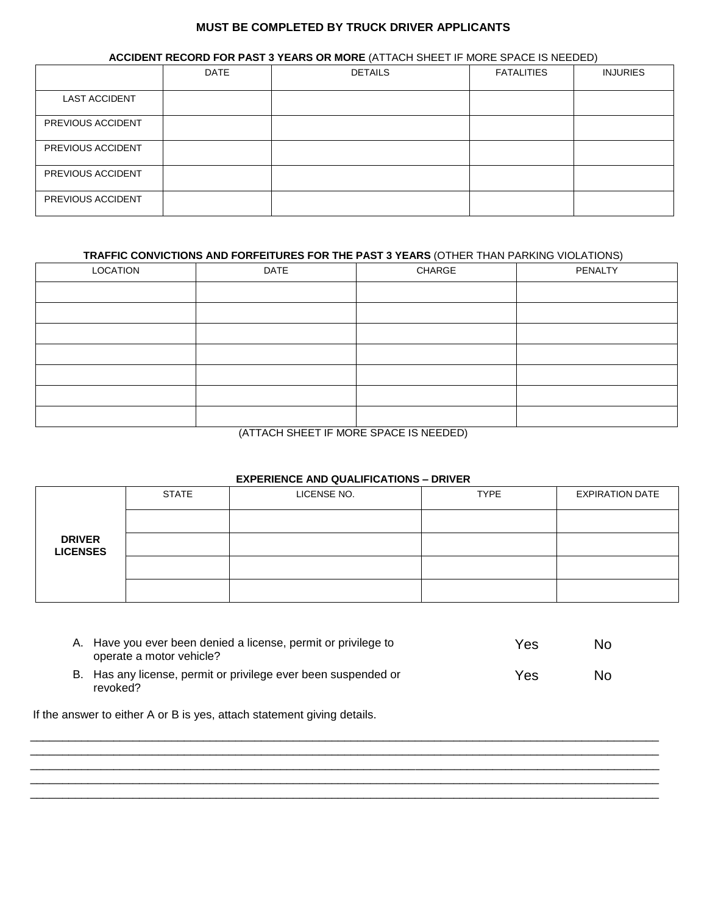## **MUST BE COMPLETED BY TRUCK DRIVER APPLICANTS**

#### **ACCIDENT RECORD FOR PAST 3 YEARS OR MORE** (ATTACH SHEET IF MORE SPACE IS NEEDED)

|                      | DATE | <b>DETAILS</b> | <b>FATALITIES</b> | <b>INJURIES</b> |
|----------------------|------|----------------|-------------------|-----------------|
| <b>LAST ACCIDENT</b> |      |                |                   |                 |
| PREVIOUS ACCIDENT    |      |                |                   |                 |
| PREVIOUS ACCIDENT    |      |                |                   |                 |
| PREVIOUS ACCIDENT    |      |                |                   |                 |
| PREVIOUS ACCIDENT    |      |                |                   |                 |

## **TRAFFIC CONVICTIONS AND FORFEITURES FOR THE PAST 3 YEARS** (OTHER THAN PARKING VIOLATIONS)

| LOCATION                                           | DATE | CHARGE | PENALTY |  |  |  |  |
|----------------------------------------------------|------|--------|---------|--|--|--|--|
|                                                    |      |        |         |  |  |  |  |
|                                                    |      |        |         |  |  |  |  |
|                                                    |      |        |         |  |  |  |  |
|                                                    |      |        |         |  |  |  |  |
|                                                    |      |        |         |  |  |  |  |
|                                                    |      |        |         |  |  |  |  |
|                                                    |      |        |         |  |  |  |  |
| . . ___ . _ ____ ._ _ _ _ _ _ _ _ _ _ . _ __ _ _ . |      |        |         |  |  |  |  |

### (ATTACH SHEET IF MORE SPACE IS NEEDED)

#### **EXPERIENCE AND QUALIFICATIONS – DRIVER**

|                                  | <b>STATE</b> | LICENSE NO. | <b>TYPE</b> | <b>EXPIRATION DATE</b> |
|----------------------------------|--------------|-------------|-------------|------------------------|
|                                  |              |             |             |                        |
| <b>DRIVER</b><br><b>LICENSES</b> |              |             |             |                        |
|                                  |              |             |             |                        |
|                                  |              |             |             |                        |

| A. Have you ever been denied a license, permit or privilege to<br>operate a motor vehicle? | Yes | No. |
|--------------------------------------------------------------------------------------------|-----|-----|
| B. Has any license, permit or privilege ever been suspended or<br>revoked?                 | Yes | No. |

 $\Box \rightarrow \Box \rightarrow \Box$  $\Box \rightarrow \Box \rightarrow \Box$ \_\_\_\_\_\_\_\_\_\_\_\_\_\_\_\_\_\_\_\_\_\_\_\_\_\_\_\_\_\_\_\_\_\_\_\_\_\_\_\_\_\_\_\_\_\_\_\_\_\_\_\_\_\_\_\_\_\_\_\_\_\_\_\_\_\_\_\_\_\_\_\_\_\_\_\_\_\_\_\_\_\_\_\_\_\_\_\_\_\_\_\_\_\_\_\_\_\_ \_\_\_\_\_\_\_\_\_\_\_\_\_\_\_\_\_\_\_\_\_\_\_\_\_\_\_\_\_\_\_\_\_\_\_\_\_\_\_\_\_\_\_\_\_\_\_\_\_\_\_\_\_\_\_\_\_\_\_\_\_\_\_\_\_\_\_\_\_\_\_\_\_\_\_\_\_\_\_\_\_\_\_\_\_\_\_\_\_\_\_\_\_\_\_\_\_\_ \_\_\_\_\_\_\_\_\_\_\_\_\_\_\_\_\_\_\_\_\_\_\_\_\_\_\_\_\_\_\_\_\_\_\_\_\_\_\_\_\_\_\_\_\_\_\_\_\_\_\_\_\_\_\_\_\_\_\_\_\_\_\_\_\_\_\_\_\_\_\_\_\_\_\_\_\_\_\_\_\_\_\_\_\_\_\_\_\_\_\_\_\_\_\_\_\_\_

If the answer to either A or B is yes, attach statement giving details.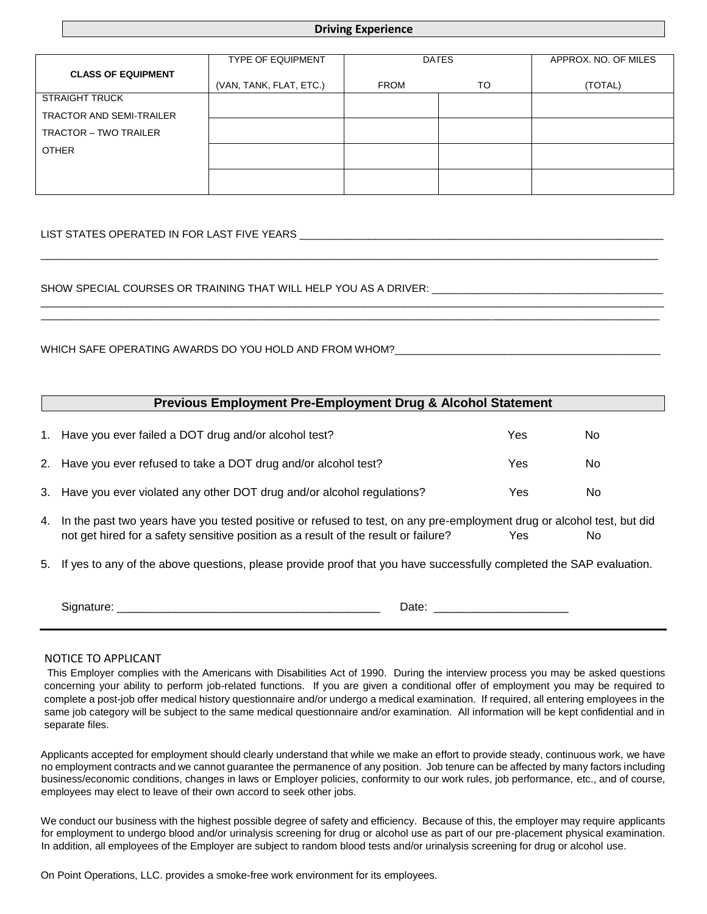#### **Driving Experience**

|                           | <b>TYPE OF EQUIPMENT</b> | <b>DATES</b> |    | APPROX, NO. OF MILES |
|---------------------------|--------------------------|--------------|----|----------------------|
| <b>CLASS OF EQUIPMENT</b> |                          |              |    |                      |
|                           | (VAN, TANK, FLAT, ETC.)  | FROM         | TO | (TOTAL)              |
| <b>STRAIGHT TRUCK</b>     |                          |              |    |                      |
| TRACTOR AND SEMI-TRAILER  |                          |              |    |                      |
| TRACTOR - TWO TRAILER     |                          |              |    |                      |
| <b>OTHER</b>              |                          |              |    |                      |
|                           |                          |              |    |                      |
|                           |                          |              |    |                      |
|                           |                          |              |    |                      |

\_\_\_\_\_\_\_\_\_\_\_\_\_\_\_\_\_\_\_\_\_\_\_\_\_\_\_\_\_\_\_\_\_\_\_\_\_\_\_\_\_\_\_\_\_\_\_\_\_\_\_\_\_\_\_\_\_\_\_\_\_\_\_\_\_\_\_\_\_\_\_\_\_\_\_\_\_\_\_\_\_\_\_\_\_\_\_\_\_\_\_\_\_\_\_\_\_\_\_\_\_\_\_\_\_\_\_

\_\_\_\_\_\_\_\_\_\_\_\_\_\_\_\_\_\_\_\_\_\_\_\_\_\_\_\_\_\_\_\_\_\_\_\_\_\_\_\_\_\_\_\_\_\_\_\_\_\_\_\_\_\_\_\_\_\_\_\_\_\_\_\_\_\_\_\_\_\_\_\_\_\_\_\_\_\_\_\_\_\_\_\_\_\_\_\_\_\_\_\_\_\_\_\_\_\_\_\_\_\_\_\_\_\_\_\_ \_\_\_\_\_\_\_\_\_\_\_\_\_\_\_\_\_\_\_\_\_\_\_\_\_\_\_\_\_\_\_\_\_\_\_\_\_\_\_\_\_\_\_\_\_\_\_\_\_\_\_\_\_\_\_\_\_\_\_\_\_\_\_\_\_\_\_\_\_\_\_\_\_\_\_\_\_\_\_\_\_\_\_\_\_\_\_\_\_\_\_\_\_\_\_\_\_\_\_\_\_\_\_\_\_\_\_

#### LIST STATES OPERATED IN FOR LAST FIVE YEARS \_\_\_\_\_\_\_\_\_\_\_\_\_\_\_\_\_\_\_\_\_\_\_\_\_\_\_\_\_\_\_\_\_\_\_\_\_\_\_\_\_\_\_\_\_\_\_\_\_\_\_\_\_\_\_\_\_\_\_\_\_\_\_

SHOW SPECIAL COURSES OR TRAINING THAT WILL HELP YOU AS A DRIVER:

WHICH SAFE OPERATING AWARDS DO YOU HOLD AND FROM WHOM?\_\_\_\_\_\_\_\_\_\_\_\_\_\_\_\_\_\_\_\_\_\_\_\_\_\_

#### **Previous Employment Pre-Employment Drug & Alcohol Statement**

| 1. Have you ever failed a DOT drug and/or alcohol test?                  | Yes | No |
|--------------------------------------------------------------------------|-----|----|
| 2. Have you ever refused to take a DOT drug and/or alcohol test?         | Yes | No |
| 3. Have you ever violated any other DOT drug and/or alcohol regulations? | Yes | No |

- 4. In the past two years have you tested positive or refused to test, on any pre-employment drug or alcohol test, but did not get hired for a safety sensitive position as a result of the result or failure? Yes No
- 5. If yes to any of the above questions, please provide proof that you have successfully completed the SAP evaluation.

| -<br>∼… |  |
|---------|--|
|---------|--|

#### NOTICE TO APPLICANT

This Employer complies with the Americans with Disabilities Act of 1990. During the interview process you may be asked questions concerning your ability to perform job-related functions. If you are given a conditional offer of employment you may be required to complete a post-job offer medical history questionnaire and/or undergo a medical examination. If required, all entering employees in the same job category will be subject to the same medical questionnaire and/or examination. All information will be kept confidential and in separate files.

Applicants accepted for employment should clearly understand that while we make an effort to provide steady, continuous work, we have no employment contracts and we cannot guarantee the permanence of any position. Job tenure can be affected by many factors including business/economic conditions, changes in laws or Employer policies, conformity to our work rules, job performance, etc., and of course, employees may elect to leave of their own accord to seek other jobs.

We conduct our business with the highest possible degree of safety and efficiency. Because of this, the employer may require applicants for employment to undergo blood and/or urinalysis screening for drug or alcohol use as part of our pre-placement physical examination. In addition, all employees of the Employer are subject to random blood tests and/or urinalysis screening for drug or alcohol use.

On Point Operations, LLC. provides a smoke-free work environment for its employees.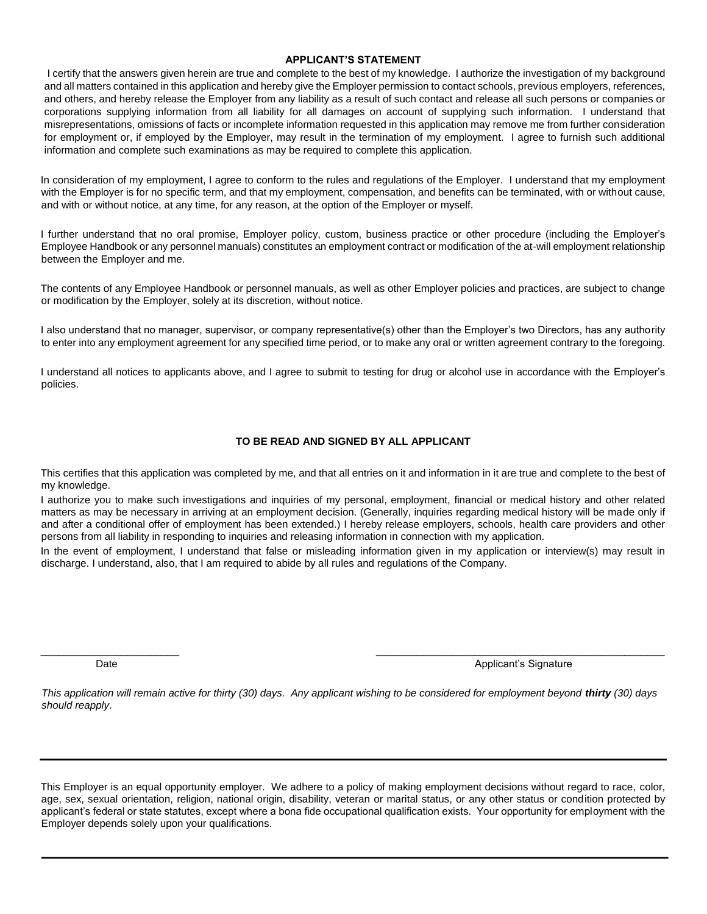#### **APPLICANT'S STATEMENT**

I certify that the answers given herein are true and complete to the best of my knowledge. I authorize the investigation of my background and all matters contained in this application and hereby give the Employer permission to contact schools, previous employers, references, and others, and hereby release the Employer from any liability as a result of such contact and release all such persons or companies or corporations supplying information from all liability for all damages on account of supplying such information. I understand that misrepresentations, omissions of facts or incomplete information requested in this application may remove me from further consideration for employment or, if employed by the Employer, may result in the termination of my employment. I agree to furnish such additional information and complete such examinations as may be required to complete this application.

In consideration of my employment, I agree to conform to the rules and regulations of the Employer. I understand that my employment with the Employer is for no specific term, and that my employment, compensation, and benefits can be terminated, with or without cause, and with or without notice, at any time, for any reason, at the option of the Employer or myself.

I further understand that no oral promise, Employer policy, custom, business practice or other procedure (including the Employer's Employee Handbook or any personnel manuals) constitutes an employment contract or modification of the at-will employment relationship between the Employer and me.

The contents of any Employee Handbook or personnel manuals, as well as other Employer policies and practices, are subject to change or modification by the Employer, solely at its discretion, without notice.

I also understand that no manager, supervisor, or company representative(s) other than the Employer's two Directors, has any authority to enter into any employment agreement for any specified time period, or to make any oral or written agreement contrary to the foregoing.

I understand all notices to applicants above, and I agree to submit to testing for drug or alcohol use in accordance with the Employer's policies.

#### **TO BE READ AND SIGNED BY ALL APPLICANT**

This certifies that this application was completed by me, and that all entries on it and information in it are true and complete to the best of my knowledge.

I authorize you to make such investigations and inquiries of my personal, employment, financial or medical history and other related matters as may be necessary in arriving at an employment decision. (Generally, inquiries regarding medical history will be made only if and after a conditional offer of employment has been extended.) I hereby release employers, schools, health care providers and other persons from all liability in responding to inquiries and releasing information in connection with my application.

In the event of employment, I understand that false or misleading information given in my application or interview(s) may result in discharge. I understand, also, that I am required to abide by all rules and regulations of the Company.

Date **Date** Applicant's Signature Applicant's Signature Applicant's Signature

*This application will remain active for thirty (30) days. Any applicant wishing to be considered for employment beyond thirty (30) days should reapply*.

\_\_\_\_\_\_\_\_\_\_\_\_\_\_\_\_\_\_\_\_\_\_\_\_ \_\_\_\_\_\_\_\_\_\_\_\_\_\_\_\_\_\_\_\_\_\_\_\_\_\_\_\_\_\_\_\_\_\_\_\_\_\_\_\_\_\_\_\_\_\_\_\_\_\_

This Employer is an equal opportunity employer. We adhere to a policy of making employment decisions without regard to race, color, age, sex, sexual orientation, religion, national origin, disability, veteran or marital status, or any other status or condition protected by applicant's federal or state statutes, except where a bona fide occupational qualification exists. Your opportunity for employment with the Employer depends solely upon your qualifications.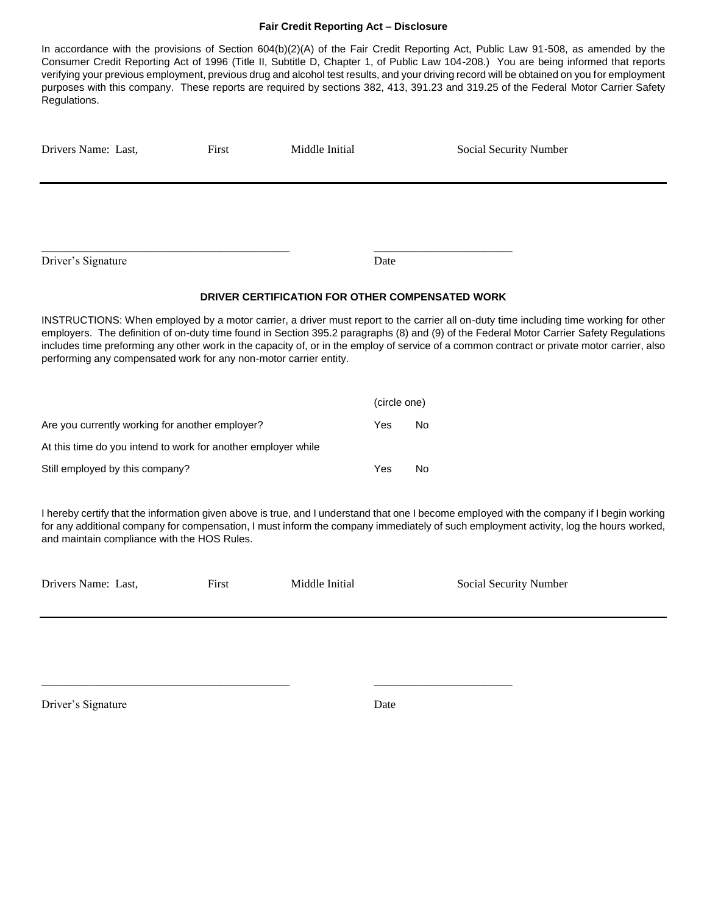#### **Fair Credit Reporting Act – Disclosure**

In accordance with the provisions of Section 604(b)(2)(A) of the Fair Credit Reporting Act, Public Law 91-508, as amended by the Consumer Credit Reporting Act of 1996 (Title II, Subtitle D, Chapter 1, of Public Law 104-208.) You are being informed that reports verifying your previous employment, previous drug and alcohol test results, and your driving record will be obtained on you for employment purposes with this company. These reports are required by sections 382, 413, 391.23 and 319.25 of the Federal Motor Carrier Safety Regulations.

| Drivers Name: Last,<br>First                                      |       | Middle Initial                                  |              |           | Social Security Number                                                                                                                                                                                                                                                                                                                                                                                                          |  |
|-------------------------------------------------------------------|-------|-------------------------------------------------|--------------|-----------|---------------------------------------------------------------------------------------------------------------------------------------------------------------------------------------------------------------------------------------------------------------------------------------------------------------------------------------------------------------------------------------------------------------------------------|--|
|                                                                   |       |                                                 |              |           |                                                                                                                                                                                                                                                                                                                                                                                                                                 |  |
| Driver's Signature                                                |       |                                                 | Date         |           |                                                                                                                                                                                                                                                                                                                                                                                                                                 |  |
|                                                                   |       | DRIVER CERTIFICATION FOR OTHER COMPENSATED WORK |              |           |                                                                                                                                                                                                                                                                                                                                                                                                                                 |  |
| performing any compensated work for any non-motor carrier entity. |       |                                                 |              |           | INSTRUCTIONS: When employed by a motor carrier, a driver must report to the carrier all on-duty time including time working for other<br>employers. The definition of on-duty time found in Section 395.2 paragraphs (8) and (9) of the Federal Motor Carrier Safety Regulations<br>includes time preforming any other work in the capacity of, or in the employ of service of a common contract or private motor carrier, also |  |
|                                                                   |       |                                                 | (circle one) |           |                                                                                                                                                                                                                                                                                                                                                                                                                                 |  |
| Are you currently working for another employer?                   |       |                                                 | Yes          | No        |                                                                                                                                                                                                                                                                                                                                                                                                                                 |  |
| At this time do you intend to work for another employer while     |       |                                                 |              |           |                                                                                                                                                                                                                                                                                                                                                                                                                                 |  |
| Still employed by this company?                                   |       |                                                 | Yes          | <b>No</b> |                                                                                                                                                                                                                                                                                                                                                                                                                                 |  |
| and maintain compliance with the HOS Rules.                       |       |                                                 |              |           | I hereby certify that the information given above is true, and I understand that one I become employed with the company if I begin working<br>for any additional company for compensation, I must inform the company immediately of such employment activity, log the hours worked,                                                                                                                                             |  |
| Drivers Name: Last.                                               | First | Middle Initial                                  |              |           | Social Security Number                                                                                                                                                                                                                                                                                                                                                                                                          |  |

Driver's Signature Date

\_\_\_\_\_\_\_\_\_\_\_\_\_\_\_\_\_\_\_\_\_\_\_\_\_\_\_\_\_\_\_\_\_\_\_\_\_\_\_\_\_\_\_ \_\_\_\_\_\_\_\_\_\_\_\_\_\_\_\_\_\_\_\_\_\_\_\_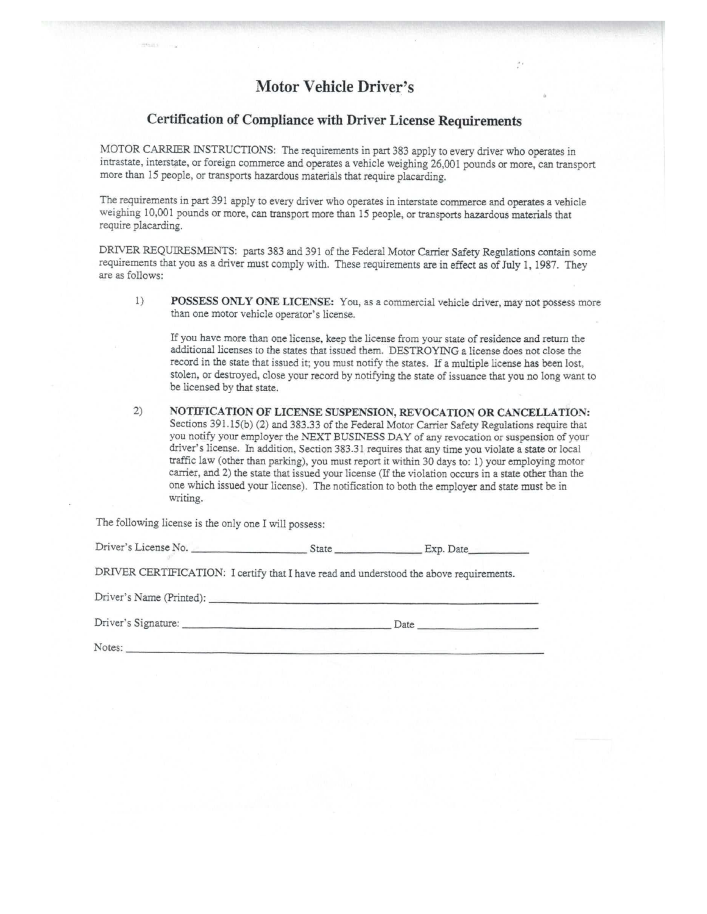## **Motor Vehicle Driver's**

### Certification of Compliance with Driver License Requirements

MOTOR CARRIER INSTRUCTIONS: The requirements in part 383 apply to every driver who operates in intrastate, interstate, or foreign commerce and operates a vehicle weighing 26,001 pounds or more, can transport more than 15 people, or transports hazardous materials that require placarding.

The requirements in part 391 apply to every driver who operates in interstate commerce and operates a vehicle weighing 10,001 pounds or more, can transport more than 15 people, or transports hazardous materials that require placarding.

DRIVER REQUIRESMENTS: parts 383 and 391 of the Federal Motor Carrier Safety Regulations contain some requirements that you as a driver must comply with. These requirements are in effect as of July 1, 1987. They are as follows:

1) POSSESS ONLY ONE LICENSE: You, as a commercial vehicle driver, may not possess more than one motor vehicle operator's license.

If you have more than one license, keep the license from your state of residence and return the additional licenses to the states that issued them. DESTROYING a license does not close the record in the state that issued it; you must notify the states. If a multiple license has been lost, stolen, or destroyed, close your record by notifying the state of issuance that you no long want to be licensed by that state.

 $2)$ NOTIFICATION OF LICENSE SUSPENSION, REVOCATION OR CANCELLATION: Sections 391.15(b) (2) and 383.33 of the Federal Motor Carrier Safety Regulations require that you notify your employer the NEXT BUSINESS DAY of any revocation or suspension of your driver's license. In addition, Section 383.31 requires that any time you violate a state or local traffic law (other than parking), you must report it within 30 days to: 1) your employing motor carrier, and 2) the state that issued your license (If the violation occurs in a state other than the one which issued your license). The notification to both the employer and state must be in writing.

The following license is the only one I will possess:

State Exp. Date Driver's License No.

DRIVER CERTIFICATION: I certify that I have read and understood the above requirements.

Driver's Name (Printed):

Driver's Signature: Date Date Date

Notes: